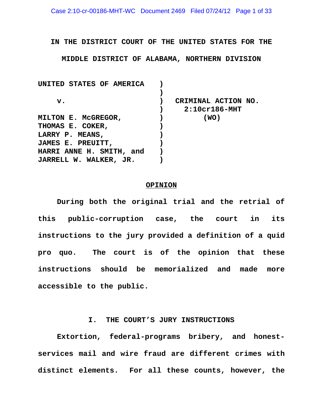Case 2:10-cr-00186-MHT-WC Document 2469 Filed 07/24/12 Page 1 of 33

**IN THE DISTRICT COURT OF THE UNITED STATES FOR THE**

**MIDDLE DISTRICT OF ALABAMA, NORTHERN DIVISION**

| UNITED STATES OF AMERICA |                     |
|--------------------------|---------------------|
|                          |                     |
| $\mathbf{v}$ .           | CRIMINAL ACTION NO. |
|                          | $2:10cr186-MHT$     |
| MILTON E. MCGREGOR,      | (WO)                |
| THOMAS E. COKER,         |                     |
| LARRY P. MEANS,          |                     |
| <b>JAMES E. PREUITT,</b> |                     |
| HARRI ANNE H. SMITH, and |                     |
| JARRELL W. WALKER, JR.   |                     |

#### **OPINION**

**During both the original trial and the retrial of this public-corruption case, the court in its instructions to the jury provided a definition of a quid pro quo. The court is of the opinion that these instructions should be memorialized and made more accessible to the public.**

### **I. THE COURT'S JURY INSTRUCTIONS**

**Extortion, federal-programs bribery, and honestservices mail and wire fraud are different crimes with distinct elements. For all these counts, however, the**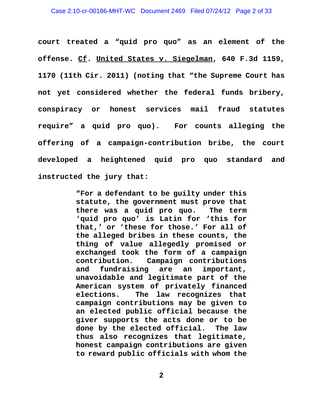**court treated a "quid pro quo" as an element of the offense. Cf. United States v. Siegelman, 640 F.3d 1159, 1170 (11th Cir. 2011) (noting that "the Supreme Court has not yet considered whether the federal funds bribery, conspiracy or honest services mail fraud statutes require" a quid pro quo). For counts alleging the offering of a campaign-contribution bribe, the court developed a heightened quid pro quo standard and instructed the jury that:**

> **"For a defendant to be guilty under this statute, the government must prove that there was a quid pro quo. The term 'quid pro quo' is Latin for 'this for that,' or 'these for those.' For all of the alleged bribes in these counts, the thing of value allegedly promised or exchanged took the form of a campaign contribution. Campaign contributions and fundraising are an important, unavoidable and legitimate part of the American system of privately financed elections. The law recognizes that campaign contributions may be given to an elected public official because the giver supports the acts done or to be done by the elected official. The law thus also recognizes that legitimate, honest campaign contributions are given to reward public officials with whom the**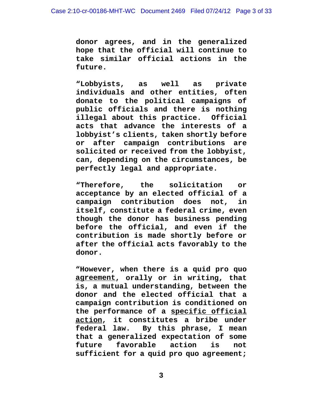**donor agrees, and in the generalized hope that the official will continue to take similar official actions in the future.**

**"Lobbyists, as well as private individuals and other entities, often donate to the political campaigns of public officials and there is nothing illegal about this practice. Official acts that advance the interests of a lobbyist's clients, taken shortly before or after campaign contributions are solicited or received from the lobbyist, can, depending on the circumstances, be perfectly legal and appropriate.**

**"Therefore, the solicitation or acceptance by an elected official of a campaign contribution does not, in itself, constitute a federal crime, even though the donor has business pending before the official, and even if the contribution is made shortly before or after the official acts favorably to the donor.**

**"However, when there is a quid pro quo agreement, orally or in writing, that is, a mutual understanding, between the donor and the elected official that a campaign contribution is conditioned on the performance of a specific official action, it constitutes a bribe under federal law. By this phrase, I mean that a generalized expectation of some future favorable action is not sufficient for a quid pro quo agreement;**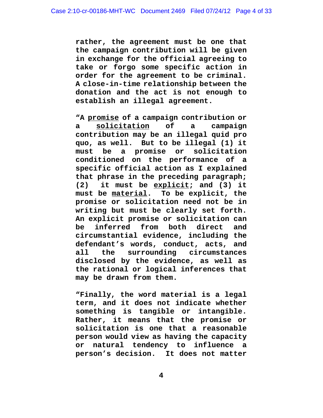**rather, the agreement must be one that the campaign contribution will be given in exchange for the official agreeing to take or forgo some specific action in order for the agreement to be criminal. A close-in-time relationship between the donation and the act is not enough to establish an illegal agreement.** 

**"A promise of a campaign contribution or a solicitation of a campaign contribution may be an illegal quid pro quo, as well. But to be illegal (1) it must be a promise or solicitation conditioned on the performance of a specific official action as I explained that phrase in the preceding paragraph; (2) it must be explicit; and (3) it must be material. To be explicit, the promise or solicitation need not be in writing but must be clearly set forth. An explicit promise or solicitation can be inferred from both direct and circumstantial evidence, including the defendant's words, conduct, acts, and all the surrounding circumstances disclosed by the evidence, as well as the rational or logical inferences that may be drawn from them.** 

**"Finally, the word material is a legal term, and it does not indicate whether something is tangible or intangible. Rather, it means that the promise or solicitation is one that a reasonable person would view as having the capacity or natural tendency to influence a person's decision. It does not matter**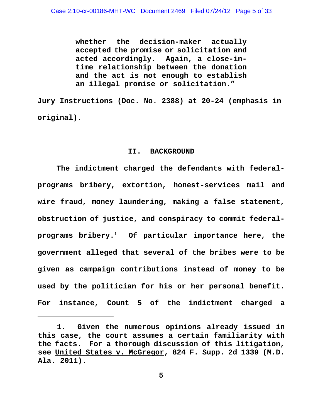**whether the decision-maker actually accepted the promise or solicitation and acted accordingly. Again, a close-intime relationship between the donation and the act is not enough to establish an illegal promise or solicitation."**

**Jury Instructions (Doc. No. 2388) at 20-24 (emphasis in original).**

#### **II. BACKGROUND**

**The indictment charged the defendants with federalprograms bribery, extortion, honest-services mail and wire fraud, money laundering, making a false statement, obstruction of justice, and conspiracy to commit federalprograms bribery.1 Of particular importance here, the government alleged that several of the bribes were to be given as campaign contributions instead of money to be used by the politician for his or her personal benefit. For instance, Count 5 of the indictment charged a**

**<sup>1.</sup> Given the numerous opinions already issued in this case, the court assumes a certain familiarity with the facts. For a thorough discussion of this litigation, see United States v. McGregor, 824 F. Supp. 2d 1339 (M.D. Ala. 2011).**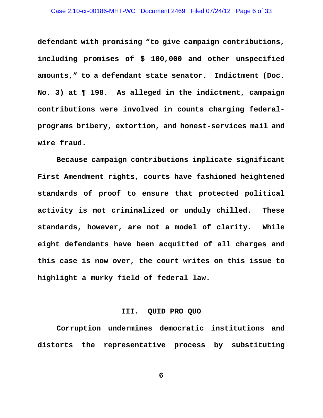#### Case 2:10-cr-00186-MHT-WC Document 2469 Filed 07/24/12 Page 6 of 33

**defendant with promising "to give campaign contributions, including promises of \$ 100,000 and other unspecified amounts," to a defendant state senator. Indictment (Doc. No. 3) at ¶ 198. As alleged in the indictment, campaign contributions were involved in counts charging federalprograms bribery, extortion, and honest-services mail and wire fraud.** 

**Because campaign contributions implicate significant First Amendment rights, courts have fashioned heightened standards of proof to ensure that protected political activity is not criminalized or unduly chilled. These standards, however, are not a model of clarity. While eight defendants have been acquitted of all charges and this case is now over, the court writes on this issue to highlight a murky field of federal law.** 

# **III. QUID PRO QUO**

**Corruption undermines democratic institutions and distorts the representative process by substituting**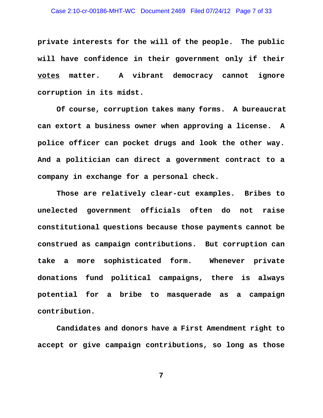#### Case 2:10-cr-00186-MHT-WC Document 2469 Filed 07/24/12 Page 7 of 33

**private interests for the will of the people. The public will have confidence in their government only if their votes matter. A vibrant democracy cannot ignore corruption in its midst.**

 **Of course, corruption takes many forms. A bureaucrat can extort a business owner when approving a license. A police officer can pocket drugs and look the other way. And a politician can direct a government contract to a company in exchange for a personal check.**

**Those are relatively clear-cut examples. Bribes to unelected government officials often do not raise constitutional questions because those payments cannot be construed as campaign contributions. But corruption can take a more sophisticated form. Whenever private donations fund political campaigns, there is always potential for a bribe to masquerade as a campaign contribution.**

**Candidates and donors have a First Amendment right to accept or give campaign contributions, so long as those**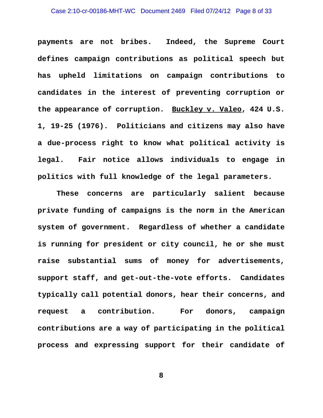#### Case 2:10-cr-00186-MHT-WC Document 2469 Filed 07/24/12 Page 8 of 33

**payments are not bribes. Indeed, the Supreme Court defines campaign contributions as political speech but has upheld limitations on campaign contributions to candidates in the interest of preventing corruption or the appearance of corruption. Buckley v. Valeo, 424 U.S. 1, 19-25 (1976). Politicians and citizens may also have a due-process right to know what political activity is legal. Fair notice allows individuals to engage in politics with full knowledge of the legal parameters.** 

**These concerns are particularly salient because private funding of campaigns is the norm in the American system of government. Regardless of whether a candidate is running for president or city council, he or she must raise substantial sums of money for advertisements, support staff, and get-out-the-vote efforts. Candidates typically call potential donors, hear their concerns, and request a contribution. For donors, campaign contributions are a way of participating in the political process and expressing support for their candidate of**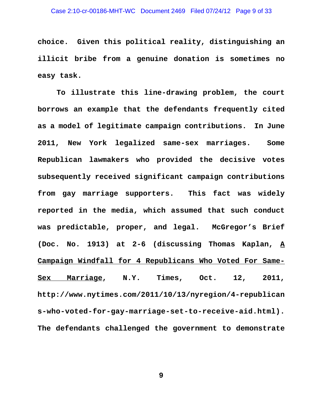**choice. Given this political reality, distinguishing an illicit bribe from a genuine donation is sometimes no easy task.**

**To illustrate this line-drawing problem, the court borrows an example that the defendants frequently cited as a model of legitimate campaign contributions. In June 2011, New York legalized same-sex marriages. Some Republican lawmakers who provided the decisive votes subsequently received significant campaign contributions from gay marriage supporters. This fact was widely reported in the media, which assumed that such conduct was predictable, proper, and legal. McGregor's Brief (Doc. No. 1913) at 2-6 (discussing Thomas Kaplan, A Campaign Windfall for 4 Republicans Who Voted For Same-Sex Marriage, N.Y. Times, Oct. 12, 2011, http://www.nytimes.com/2011/10/13/nyregion/4-republican s-who-voted-for-gay-marriage-set-to-receive-aid.html). The defendants challenged the government to demonstrate**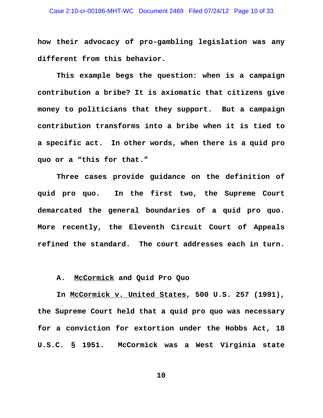**how their advocacy of pro-gambling legislation was any different from this behavior.** 

**This example begs the question: when is a campaign contribution a bribe? It is axiomatic that citizens give money to politicians that they support. But a campaign contribution transforms into a bribe when it is tied to a specific act. In other words, when there is a quid pro quo or a "this for that."**

**Three cases provide guidance on the definition of quid pro quo. In the first two, the Supreme Court demarcated the general boundaries of a quid pro quo. More recently, the Eleventh Circuit Court of Appeals refined the standard. The court addresses each in turn.**

# **A. McCormick and Quid Pro Quo**

**In McCormick v. United States, 500 U.S. 257 (1991), the Supreme Court held that a quid pro quo was necessary for a conviction for extortion under the Hobbs Act, 18 U.S.C. § 1951. McCormick was a West Virginia state**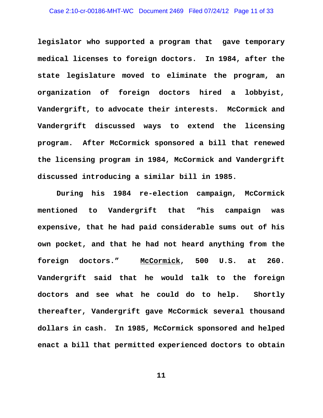**legislator who supported a program that gave temporary medical licenses to foreign doctors. In 1984, after the state legislature moved to eliminate the program, an organization of foreign doctors hired a lobbyist, Vandergrift, to advocate their interests. McCormick and Vandergrift discussed ways to extend the licensing program. After McCormick sponsored a bill that renewed the licensing program in 1984, McCormick and Vandergrift discussed introducing a similar bill in 1985.**

**During his 1984 re-election campaign, McCormick mentioned to Vandergrift that "his campaign was expensive, that he had paid considerable sums out of his own pocket, and that he had not heard anything from the foreign doctors." McCormick, 500 U.S. at 260. Vandergrift said that he would talk to the foreign doctors and see what he could do to help. Shortly thereafter, Vandergrift gave McCormick several thousand dollars in cash. In 1985, McCormick sponsored and helped enact a bill that permitted experienced doctors to obtain**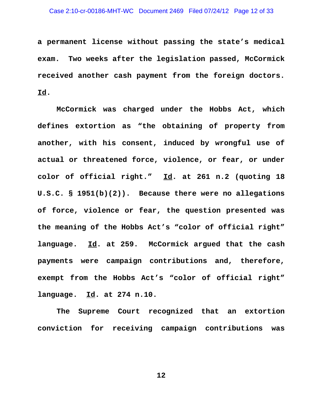**a permanent license without passing the state's medical exam. Two weeks after the legislation passed, McCormick received another cash payment from the foreign doctors. Id.**

**McCormick was charged under the Hobbs Act, which defines extortion as "the obtaining of property from another, with his consent, induced by wrongful use of actual or threatened force, violence, or fear, or under color of official right." Id. at 261 n.2 (quoting 18 U.S.C. § 1951(b)(2)). Because there were no allegations of force, violence or fear, the question presented was the meaning of the Hobbs Act's "color of official right" language. Id. at 259. McCormick argued that the cash payments were campaign contributions and, therefore, exempt from the Hobbs Act's "color of official right" language. Id. at 274 n.10.**

**The Supreme Court recognized that an extortion conviction for receiving campaign contributions was**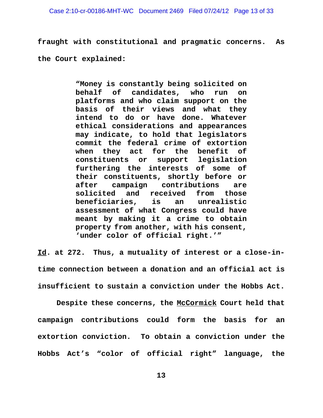**fraught with constitutional and pragmatic concerns. As**

**the Court explained:**

**"Money is constantly being solicited on behalf of candidates, who run on platforms and who claim support on the basis of their views and what they intend to do or have done. Whatever ethical considerations and appearances may indicate, to hold that legislators commit the federal crime of extortion when they act for the benefit of constituents or support legislation furthering the interests of some of their constituents, shortly before or after campaign contributions are solicited and received from those beneficiaries, is an unrealistic assessment of what Congress could have meant by making it a crime to obtain property from another, with his consent, 'under color of official right.'"**

**Id. at 272. Thus, a mutuality of interest or a close-intime connection between a donation and an official act is insufficient to sustain a conviction under the Hobbs Act.**

**Despite these concerns, the McCormick Court held that campaign contributions could form the basis for an extortion conviction. To obtain a conviction under the Hobbs Act's "color of official right" language, the**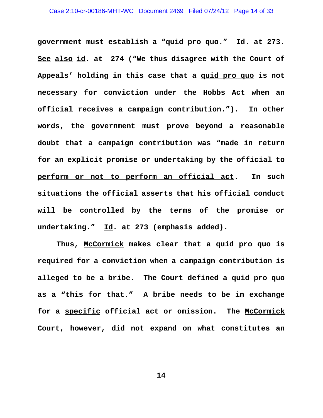**government must establish a "quid pro quo." Id. at 273. See also id. at 274 ("We thus disagree with the Court of Appeals' holding in this case that a quid pro quo is not necessary for conviction under the Hobbs Act when an official receives a campaign contribution."). In other words, the government must prove beyond a reasonable doubt that a campaign contribution was "made in return for an explicit promise or undertaking by the official to perform or not to perform an official act. In such situations the official asserts that his official conduct will be controlled by the terms of the promise or undertaking." Id. at 273 (emphasis added).**

**Thus, McCormick makes clear that a quid pro quo is required for a conviction when a campaign contribution is alleged to be a bribe. The Court defined a quid pro quo as a "this for that." A bribe needs to be in exchange for a specific official act or omission. The McCormick Court, however, did not expand on what constitutes an**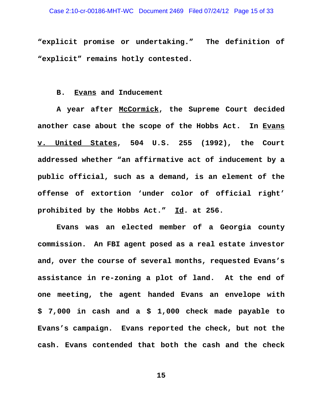**"explicit promise or undertaking." The definition of "explicit" remains hotly contested.**

**B. Evans and Inducement**

**A year after McCormick, the Supreme Court decided another case about the scope of the Hobbs Act. In Evans v. United States, 504 U.S. 255 (1992), the Court addressed whether "an affirmative act of inducement by a public official, such as a demand, is an element of the offense of extortion 'under color of official right' prohibited by the Hobbs Act." Id. at 256.** 

**Evans was an elected member of a Georgia county commission. An FBI agent posed as a real estate investor and, over the course of several months, requested Evans's assistance in re-zoning a plot of land. At the end of one meeting, the agent handed Evans an envelope with \$ 7,000 in cash and a \$ 1,000 check made payable to Evans's campaign. Evans reported the check, but not the cash. Evans contended that both the cash and the check**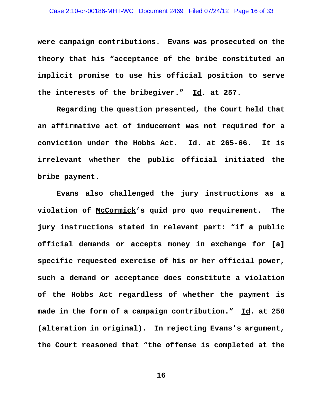#### Case 2:10-cr-00186-MHT-WC Document 2469 Filed 07/24/12 Page 16 of 33

**were campaign contributions. Evans was prosecuted on the theory that his "acceptance of the bribe constituted an implicit promise to use his official position to serve the interests of the bribegiver." Id. at 257.**

**Regarding the question presented, the Court held that an affirmative act of inducement was not required for a conviction under the Hobbs Act. Id. at 265-66. It is irrelevant whether the public official initiated the bribe payment.** 

**Evans also challenged the jury instructions as a violation of McCormick's quid pro quo requirement. The jury instructions stated in relevant part: "if a public official demands or accepts money in exchange for [a] specific requested exercise of his or her official power, such a demand or acceptance does constitute a violation of the Hobbs Act regardless of whether the payment is made in the form of a campaign contribution." Id. at 258 (alteration in original). In rejecting Evans's argument, the Court reasoned that "the offense is completed at the**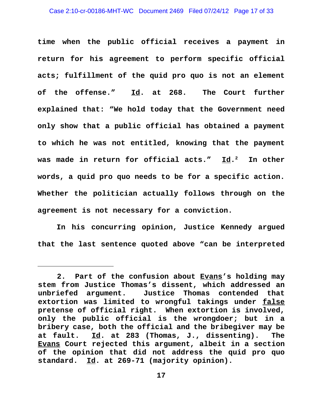**time when the public official receives a payment in return for his agreement to perform specific official acts; fulfillment of the quid pro quo is not an element of the offense." Id. at 268. The Court further explained that: "We hold today that the Government need only show that a public official has obtained a payment to which he was not entitled, knowing that the payment** was made in return for official acts." Id.<sup>2</sup> In other **words, a quid pro quo needs to be for a specific action. Whether the politician actually follows through on the agreement is not necessary for a conviction.**

**In his concurring opinion, Justice Kennedy argued that the last sentence quoted above "can be interpreted**

**<sup>2.</sup> Part of the confusion about Evans's holding may stem from Justice Thomas's dissent, which addressed an unbriefed argument. Justice Thomas contended that extortion was limited to wrongful takings under false pretense of official right. When extortion is involved, only the public official is the wrongdoer; but in a bribery case, both the official and the bribegiver may be at fault. Id. at 283 (Thomas, J., dissenting). The Evans Court rejected this argument, albeit in a section of the opinion that did not address the quid pro quo standard. Id. at 269-71 (majority opinion).**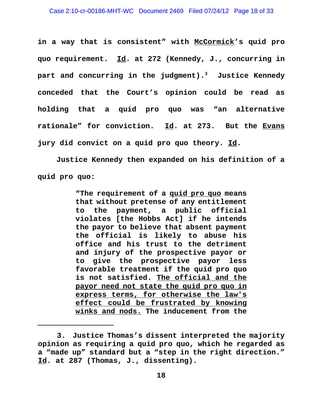**in a way that is consistent" with McCormick's quid pro quo requirement. Id. at 272 (Kennedy, J., concurring in part and concurring in the judgment).3 Justice Kennedy conceded that the Court's opinion could be read as holding that a quid pro quo was "an alternative rationale" for conviction. Id. at 273. But the Evans jury did convict on a quid pro quo theory. Id.**

**Justice Kennedy then expanded on his definition of a quid pro quo:**

> **"The requirement of a quid pro quo means that without pretense of any entitlement to the payment, a public official violates [the Hobbs Act] if he intends the payor to believe that absent payment the official is likely to abuse his office and his trust to the detriment and injury of the prospective payor or to give the prospective payor less favorable treatment if the quid pro quo is not satisfied. The official and the payor need not state the quid pro quo in express terms, for otherwise the law's effect could be frustrated by knowing winks and nods. The inducement from the**

**<sup>3.</sup> Justice Thomas's dissent interpreted the majority opinion as requiring a quid pro quo, which he regarded as a "made up" standard but a "step in the right direction." Id. at 287 (Thomas, J., dissenting).**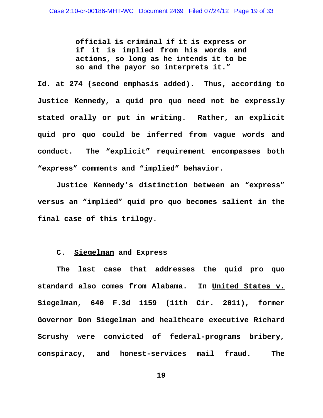**official is criminal if it is express or if it is implied from his words and actions, so long as he intends it to be so and the payor so interprets it."**

**Id. at 274 (second emphasis added). Thus, according to Justice Kennedy, a quid pro quo need not be expressly stated orally or put in writing. Rather, an explicit quid pro quo could be inferred from vague words and conduct. The "explicit" requirement encompasses both "express" comments and "implied" behavior.**

**Justice Kennedy's distinction between an "express" versus an "implied" quid pro quo becomes salient in the final case of this trilogy.**

### **C. Siegelman and Express**

**The last case that addresses the quid pro quo standard also comes from Alabama. In United States v. Siegelman, 640 F.3d 1159 (11th Cir. 2011), former Governor Don Siegelman and healthcare executive Richard Scrushy were convicted of federal-programs bribery, conspiracy, and honest-services mail fraud. The**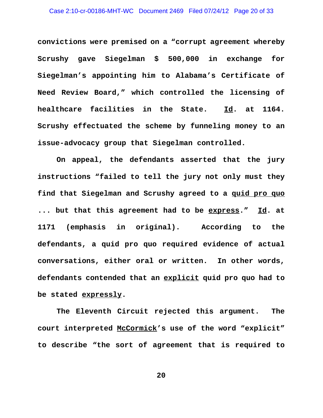#### Case 2:10-cr-00186-MHT-WC Document 2469 Filed 07/24/12 Page 20 of 33

**convictions were premised on a "corrupt agreement whereby Scrushy gave Siegelman \$ 500,000 in exchange for Siegelman's appointing him to Alabama's Certificate of Need Review Board," which controlled the licensing of healthcare facilities in the State. Id. at 1164. Scrushy effectuated the scheme by funneling money to an issue-advocacy group that Siegelman controlled.** 

**On appeal, the defendants asserted that the jury instructions "failed to tell the jury not only must they find that Siegelman and Scrushy agreed to a quid pro quo ... but that this agreement had to be express." Id. at 1171 (emphasis in original). According to the defendants, a quid pro quo required evidence of actual conversations, either oral or written. In other words, defendants contended that an explicit quid pro quo had to be stated expressly.**

**The Eleventh Circuit rejected this argument. The court interpreted McCormick's use of the word "explicit" to describe "the sort of agreement that is required to**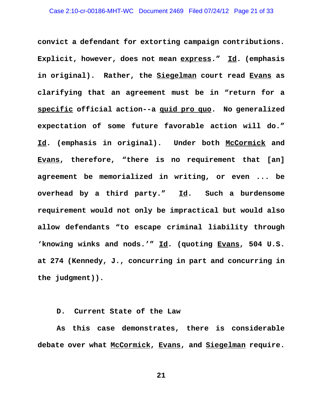**convict a defendant for extorting campaign contributions. Explicit, however, does not mean express." Id. (emphasis in original). Rather, the Siegelman court read Evans as clarifying that an agreement must be in "return for a specific official action--a quid pro quo. No generalized expectation of some future favorable action will do." Id. (emphasis in original). Under both McCormick and Evans, therefore, "there is no requirement that [an] agreement be memorialized in writing, or even ... be overhead by a third party." Id. Such a burdensome requirement would not only be impractical but would also allow defendants "to escape criminal liability through 'knowing winks and nods.'" Id. (quoting Evans, 504 U.S. at 274 (Kennedy, J., concurring in part and concurring in the judgment)).**

# **D. Current State of the Law**

**As this case demonstrates, there is considerable debate over what McCormick, Evans, and Siegelman require.**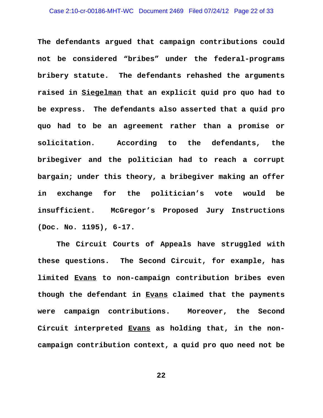**The defendants argued that campaign contributions could not be considered "bribes" under the federal-programs bribery statute. The defendants rehashed the arguments raised in Siegelman that an explicit quid pro quo had to be express. The defendants also asserted that a quid pro quo had to be an agreement rather than a promise or solicitation. According to the defendants, the bribegiver and the politician had to reach a corrupt bargain; under this theory, a bribegiver making an offer in exchange for the politician's vote would be insufficient. McGregor's Proposed Jury Instructions (Doc. No. 1195), 6-17.**

**The Circuit Courts of Appeals have struggled with these questions. The Second Circuit, for example, has limited Evans to non-campaign contribution bribes even though the defendant in Evans claimed that the payments were campaign contributions. Moreover, the Second Circuit interpreted Evans as holding that, in the noncampaign contribution context, a quid pro quo need not be**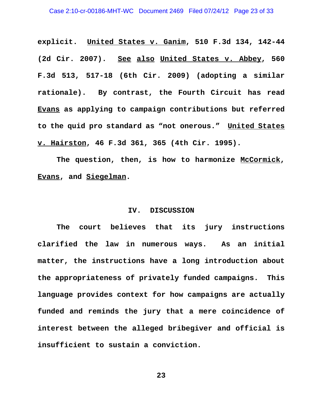**explicit. United States v. Ganim, 510 F.3d 134, 142-44 (2d Cir. 2007). See also United States v. Abbey, 560 F.3d 513, 517-18 (6th Cir. 2009) (adopting a similar rationale). By contrast, the Fourth Circuit has read Evans as applying to campaign contributions but referred to the quid pro standard as "not onerous." United States v. Hairston, 46 F.3d 361, 365 (4th Cir. 1995).**

**The question, then, is how to harmonize McCormick, Evans, and Siegelman.** 

### **IV. DISCUSSION**

**The court believes that its jury instructions clarified the law in numerous ways. As an initial matter, the instructions have a long introduction about the appropriateness of privately funded campaigns. This language provides context for how campaigns are actually funded and reminds the jury that a mere coincidence of interest between the alleged bribegiver and official is insufficient to sustain a conviction.**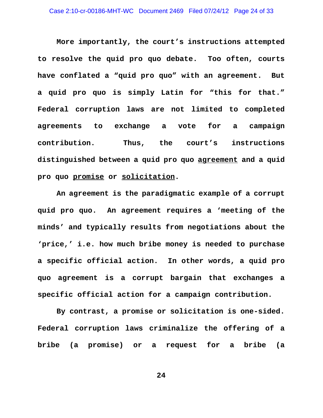**More importantly, the court's instructions attempted to resolve the quid pro quo debate. Too often, courts have conflated a "quid pro quo" with an agreement. But a quid pro quo is simply Latin for "this for that." Federal corruption laws are not limited to completed agreements to exchange a vote for a campaign contribution. Thus, the court's instructions distinguished between a quid pro quo agreement and a quid pro quo promise or solicitation.**

**An agreement is the paradigmatic example of a corrupt quid pro quo. An agreement requires a 'meeting of the minds' and typically results from negotiations about the 'price,' i.e. how much bribe money is needed to purchase a specific official action. In other words, a quid pro quo agreement is a corrupt bargain that exchanges a specific official action for a campaign contribution.**

**By contrast, a promise or solicitation is one-sided. Federal corruption laws criminalize the offering of a bribe (a promise) or a request for a bribe (a**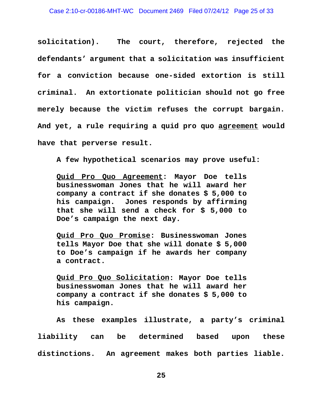**solicitation). The court, therefore, rejected the defendants' argument that a solicitation was insufficient for a conviction because one-sided extortion is still criminal. An extortionate politician should not go free merely because the victim refuses the corrupt bargain. And yet, a rule requiring a quid pro quo agreement would have that perverse result.**

**A few hypothetical scenarios may prove useful:**

**Quid Pro Quo Agreement: Mayor Doe tells businesswoman Jones that he will award her company a contract if she donates \$ 5,000 to his campaign. Jones responds by affirming that she will send a check for \$ 5,000 to Doe's campaign the next day.**

**Quid Pro Quo Promise: Businesswoman Jones tells Mayor Doe that she will donate \$ 5,000 to Doe's campaign if he awards her company a contract.**

**Quid Pro Quo Solicitation: Mayor Doe tells businesswoman Jones that he will award her company a contract if she donates \$ 5,000 to his campaign.**

**As these examples illustrate, a party's criminal liability can be determined based upon these distinctions. An agreement makes both parties liable.**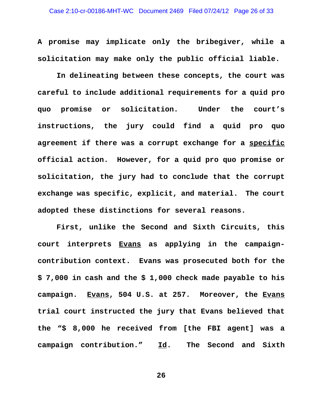**A promise may implicate only the bribegiver, while a solicitation may make only the public official liable.** 

**In delineating between these concepts, the court was careful to include additional requirements for a quid pro quo promise or solicitation. Under the court's instructions, the jury could find a quid pro quo agreement if there was a corrupt exchange for a specific official action. However, for a quid pro quo promise or solicitation, the jury had to conclude that the corrupt exchange was specific, explicit, and material. The court adopted these distinctions for several reasons.** 

**First, unlike the Second and Sixth Circuits, this court interprets Evans as applying in the campaigncontribution context. Evans was prosecuted both for the \$ 7,000 in cash and the \$ 1,000 check made payable to his campaign. Evans, 504 U.S. at 257. Moreover, the Evans trial court instructed the jury that Evans believed that the "\$ 8,000 he received from [the FBI agent] was a campaign contribution." Id. The Second and Sixth**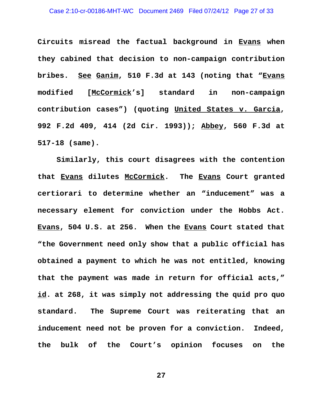**Circuits misread the factual background in Evans when they cabined that decision to non-campaign contribution bribes. See Ganim, 510 F.3d at 143 (noting that "Evans modified [McCormick's] standard in non-campaign contribution cases") (quoting United States v. Garcia, 992 F.2d 409, 414 (2d Cir. 1993)); Abbey, 560 F.3d at 517-18 (same).** 

**Similarly, this court disagrees with the contention that Evans dilutes McCormick. The Evans Court granted certiorari to determine whether an "inducement" was a necessary element for conviction under the Hobbs Act. Evans, 504 U.S. at 256. When the Evans Court stated that "the Government need only show that a public official has obtained a payment to which he was not entitled, knowing that the payment was made in return for official acts," id. at 268, it was simply not addressing the quid pro quo standard. The Supreme Court was reiterating that an inducement need not be proven for a conviction. Indeed, the bulk of the Court's opinion focuses on the**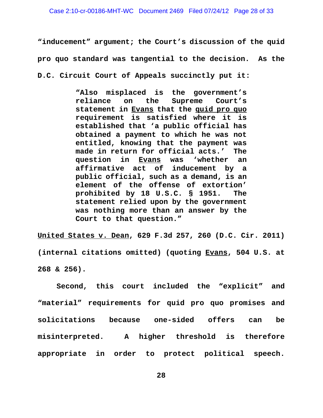**"inducement" argument; the Court's discussion of the quid pro quo standard was tangential to the decision. As the**

**D.C. Circuit Court of Appeals succinctly put it:**

**"Also misplaced is the government's reliance on the Supreme Court's statement in Evans that the quid pro quo requirement is satisfied where it is established that 'a public official has obtained a payment to which he was not entitled, knowing that the payment was made in return for official acts.' The question in Evans was 'whether an affirmative act of inducement by a public official, such as a demand, is an element of the offense of extortion' prohibited by 18 U.S.C. § 1951. The statement relied upon by the government was nothing more than an answer by the Court to that question."** 

**United States v. Dean, 629 F.3d 257, 260 (D.C. Cir. 2011) (internal citations omitted) (quoting Evans, 504 U.S. at 268 & 256).** 

**Second, this court included the "explicit" and "material" requirements for quid pro quo promises and solicitations because one-sided offers can be misinterpreted. A higher threshold is therefore appropriate in order to protect political speech.**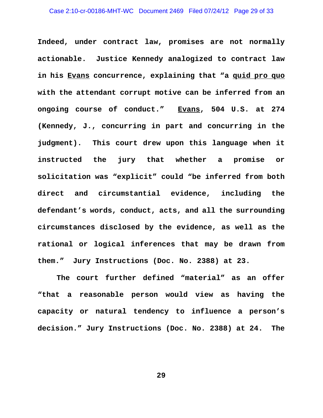**Indeed, under contract law, promises are not normally actionable. Justice Kennedy analogized to contract law in his Evans concurrence, explaining that "a quid pro quo with the attendant corrupt motive can be inferred from an ongoing course of conduct." Evans, 504 U.S. at 274 (Kennedy, J., concurring in part and concurring in the judgment). This court drew upon this language when it instructed the jury that whether a promise or solicitation was "explicit" could "be inferred from both direct and circumstantial evidence, including the defendant's words, conduct, acts, and all the surrounding circumstances disclosed by the evidence, as well as the rational or logical inferences that may be drawn from them." Jury Instructions (Doc. No. 2388) at 23.** 

**The court further defined "material" as an offer "that a reasonable person would view as having the capacity or natural tendency to influence a person's decision." Jury Instructions (Doc. No. 2388) at 24. The**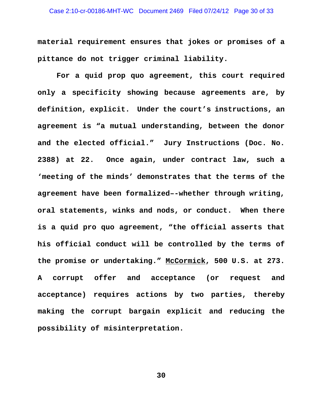#### Case 2:10-cr-00186-MHT-WC Document 2469 Filed 07/24/12 Page 30 of 33

**material requirement ensures that jokes or promises of a pittance do not trigger criminal liability.** 

**For a quid prop quo agreement, this court required only a specificity showing because agreements are, by definition, explicit. Under the court's instructions, an agreement is "a mutual understanding, between the donor and the elected official." Jury Instructions (Doc. No. 2388) at 22. Once again, under contract law, such a 'meeting of the minds' demonstrates that the terms of the agreement have been formalized–-whether through writing, oral statements, winks and nods, or conduct. When there is a quid pro quo agreement, "the official asserts that his official conduct will be controlled by the terms of the promise or undertaking." McCormick, 500 U.S. at 273. A corrupt offer and acceptance (or request and acceptance) requires actions by two parties, thereby making the corrupt bargain explicit and reducing the possibility of misinterpretation.**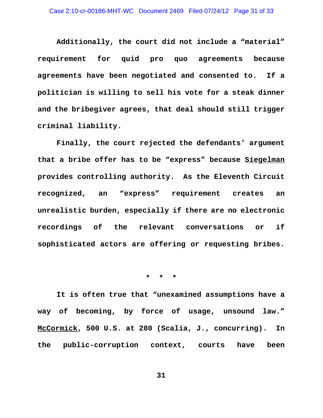**Additionally, the court did not include a "material" requirement for quid pro quo agreements because agreements have been negotiated and consented to. If a politician is willing to sell his vote for a steak dinner and the bribegiver agrees, that deal should still trigger criminal liability.**

**Finally, the court rejected the defendants' argument that a bribe offer has to be "express" because Siegelman provides controlling authority. As the Eleventh Circuit recognized, an "express" requirement creates an unrealistic burden, especially if there are no electronic recordings of the relevant conversations or if sophisticated actors are offering or requesting bribes.**

# **\* \* \***

**It is often true that "unexamined assumptions have a way of becoming, by force of usage, unsound law." McCormick, 500 U.S. at 280 (Scalia, J., concurring). In the public-corruption context, courts have been**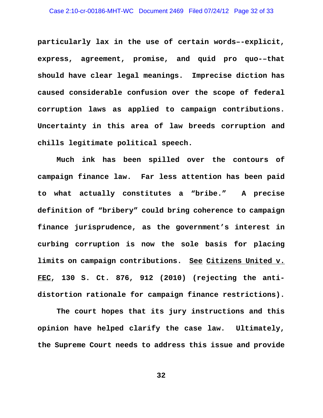**particularly lax in the use of certain words–-explicit, express, agreement, promise, and quid pro quo-–that should have clear legal meanings. Imprecise diction has caused considerable confusion over the scope of federal corruption laws as applied to campaign contributions. Uncertainty in this area of law breeds corruption and chills legitimate political speech.** 

**Much ink has been spilled over the contours of campaign finance law. Far less attention has been paid to what actually constitutes a "bribe." A precise definition of "bribery" could bring coherence to campaign finance jurisprudence, as the government's interest in curbing corruption is now the sole basis for placing limits on campaign contributions. See Citizens United v. FEC, 130 S. Ct. 876, 912 (2010) (rejecting the antidistortion rationale for campaign finance restrictions).**

**The court hopes that its jury instructions and this opinion have helped clarify the case law. Ultimately, the Supreme Court needs to address this issue and provide**